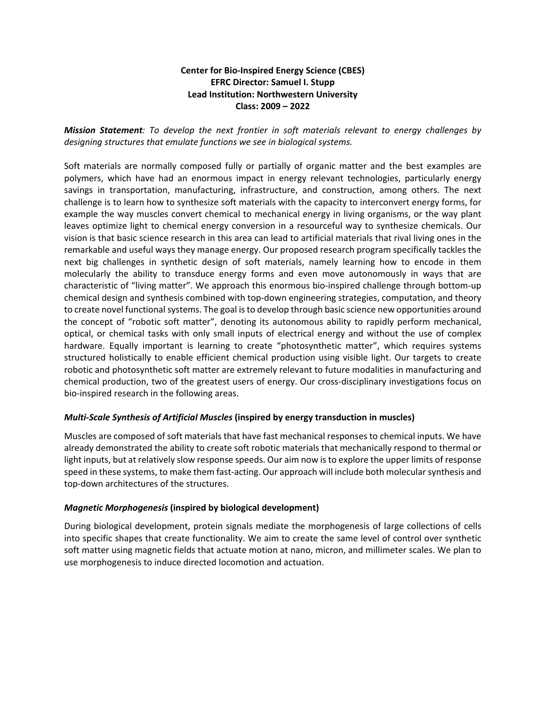# **Center for Bio-Inspired Energy Science (CBES) EFRC Director: Samuel I. Stupp Lead Institution: Northwestern University Class: 2009 – 2022**

*Mission Statement: To develop the next frontier in soft materials relevant to energy challenges by designing structures that emulate functions we see in biological systems.* 

Soft materials are normally composed fully or partially of organic matter and the best examples are polymers, which have had an enormous impact in energy relevant technologies, particularly energy savings in transportation, manufacturing, infrastructure, and construction, among others. The next challenge is to learn how to synthesize soft materials with the capacity to interconvert energy forms, for example the way muscles convert chemical to mechanical energy in living organisms, or the way plant leaves optimize light to chemical energy conversion in a resourceful way to synthesize chemicals. Our vision is that basic science research in this area can lead to artificial materials that rival living ones in the remarkable and useful ways they manage energy. Our proposed research program specifically tackles the next big challenges in synthetic design of soft materials, namely learning how to encode in them molecularly the ability to transduce energy forms and even move autonomously in ways that are characteristic of "living matter". We approach this enormous bio-inspired challenge through bottom-up chemical design and synthesis combined with top-down engineering strategies, computation, and theory to create novel functional systems. The goal is to develop through basic science new opportunities around the concept of "robotic soft matter", denoting its autonomous ability to rapidly perform mechanical, optical, or chemical tasks with only small inputs of electrical energy and without the use of complex hardware. Equally important is learning to create "photosynthetic matter", which requires systems structured holistically to enable efficient chemical production using visible light. Our targets to create robotic and photosynthetic soft matter are extremely relevant to future modalities in manufacturing and chemical production, two of the greatest users of energy. Our cross-disciplinary investigations focus on bio-inspired research in the following areas.

## *Multi-Scale Synthesis of Artificial Muscles* **(inspired by energy transduction in muscles)**

Muscles are composed of soft materials that have fast mechanical responses to chemical inputs. We have already demonstrated the ability to create soft robotic materials that mechanically respond to thermal or light inputs, but at relatively slow response speeds. Our aim now is to explore the upper limits of response speed in these systems, to make them fast-acting. Our approach will include both molecular synthesis and top-down architectures of the structures.

## *Magnetic Morphogenesis* **(inspired by biological development)**

During biological development, protein signals mediate the morphogenesis of large collections of cells into specific shapes that create functionality. We aim to create the same level of control over synthetic soft matter using magnetic fields that actuate motion at nano, micron, and millimeter scales. We plan to use morphogenesis to induce directed locomotion and actuation.